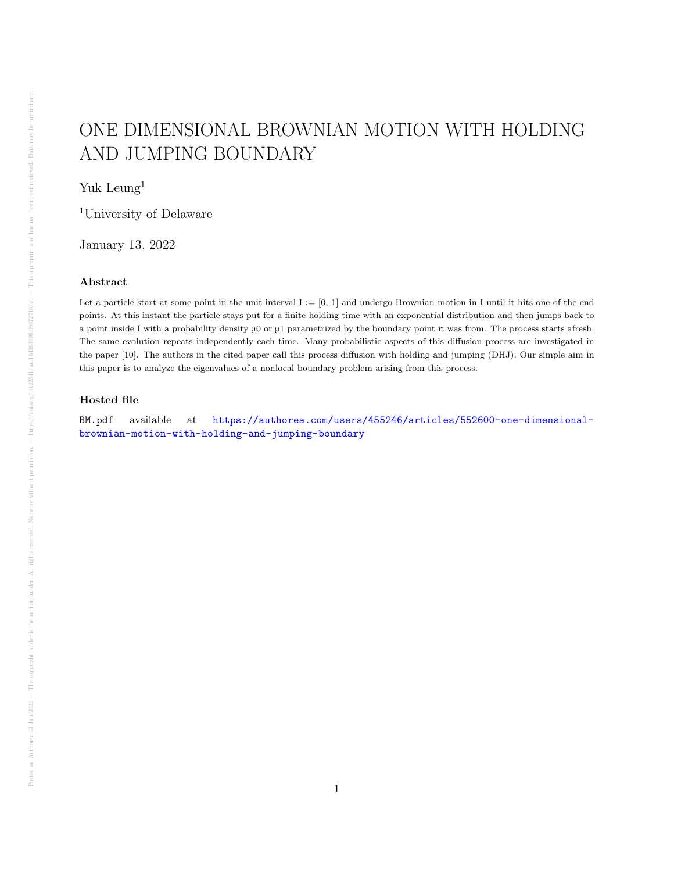## ONE DIMENSIONAL BROWNIAN MOTION WITH HOLDING AND JUMPING BOUNDARY

Yuk Leung<sup>1</sup>

<sup>1</sup>University of Delaware

January 13, 2022

## Abstract

Let a particle start at some point in the unit interval  $I := [0, 1]$  and undergo Brownian motion in I until it hits one of the end points. At this instant the particle stays put for a finite holding time with an exponential distribution and then jumps back to a point inside I with a probability density μ0 or μ1 parametrized by the boundary point it was from. The process starts afresh. The same evolution repeats independently each time. Many probabilistic aspects of this diffusion process are investigated in the paper [10]. The authors in the cited paper call this process diffusion with holding and jumping (DHJ). Our simple aim in this paper is to analyze the eigenvalues of a nonlocal boundary problem arising from this process.

## Hosted file

BM.pdf available at [https://authorea.com/users/455246/articles/552600-one-dimensional](https://authorea.com/users/455246/articles/552600-one-dimensional-brownian-motion-with-holding-and-jumping-boundary)[brownian-motion-with-holding-and-jumping-boundary](https://authorea.com/users/455246/articles/552600-one-dimensional-brownian-motion-with-holding-and-jumping-boundary)